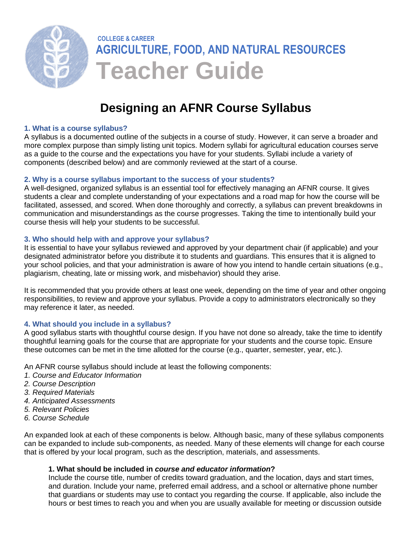

# **Designing an AFNR Course Syllabus**

#### **1. What is a course syllabus?**

A syllabus is a documented outline of the subjects in a course of study. However, it can serve a broader and more complex purpose than simply listing unit topics. Modern syllabi for agricultural education courses serve as a guide to the course and the expectations you have for your students. Syllabi include a variety of components (described below) and are commonly reviewed at the start of a course.

#### **2. Why is a course syllabus important to the success of your students?**

A well-designed, organized syllabus is an essential tool for effectively managing an AFNR course. It gives students a clear and complete understanding of your expectations and a road map for how the course will be facilitated, assessed, and scored. When done thoroughly and correctly, a syllabus can prevent breakdowns in communication and misunderstandings as the course progresses. Taking the time to intentionally build your course thesis will help your students to be successful.

#### **3. Who should help with and approve your syllabus?**

It is essential to have your syllabus reviewed and approved by your department chair (if applicable) and your designated administrator before you distribute it to students and guardians. This ensures that it is aligned to your school policies, and that your administration is aware of how you intend to handle certain situations (e.g., plagiarism, cheating, late or missing work, and misbehavior) should they arise.

It is recommended that you provide others at least one week, depending on the time of year and other ongoing responsibilities, to review and approve your syllabus. Provide a copy to administrators electronically so they may reference it later, as needed.

### **4. What should you include in a syllabus?**

A good syllabus starts with thoughtful course design. If you have not done so already, take the time to identify thoughtful learning goals for the course that are appropriate for your students and the course topic. Ensure these outcomes can be met in the time allotted for the course (e.g., quarter, semester, year, etc.).

An AFNR course syllabus should include at least the following components:

- *1. Course and Educator Information*
- *2. Course Description*
- *3. Required Materials*
- *4. Anticipated Assessments*
- *5. Relevant Policies*
- *6. Course Schedule*

An expanded look at each of these components is below. Although basic, many of these syllabus components can be expanded to include sub-components, as needed. Many of these elements will change for each course that is offered by your local program, such as the description, materials, and assessments.

### **1. What should be included in** *course and educator information***?**

Include the course title, number of credits toward graduation, and the location, days and start times, and duration. Include your name, preferred email address, and a school or alternative phone number that guardians or students may use to contact you regarding the course. If applicable, also include the hours or best times to reach you and when you are usually available for meeting or discussion outside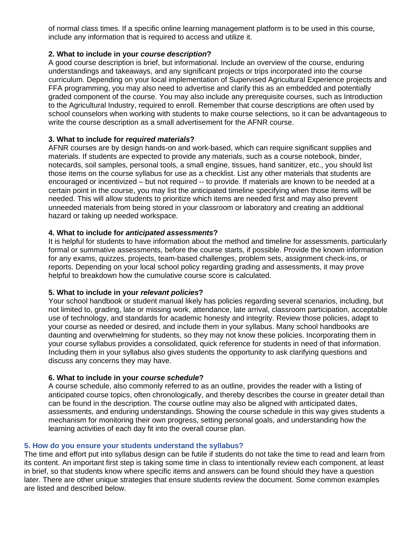of normal class times. If a specific online learning management platform is to be used in this course, include any information that is required to access and utilize it.

### **2. What to include in your** *course description***?**

A good course description is brief, but informational. Include an overview of the course, enduring understandings and takeaways, and any significant projects or trips incorporated into the course curriculum. Depending on your local implementation of Supervised Agricultural Experience projects and FFA programming, you may also need to advertise and clarify this as an embedded and potentially graded component of the course. You may also include any prerequisite courses, such as Introduction to the Agricultural Industry, required to enroll. Remember that course descriptions are often used by school counselors when working with students to make course selections, so it can be advantageous to write the course description as a small advertisement for the AFNR course.

#### **3. What to include for** *required materials***?**

AFNR courses are by design hands-on and work-based, which can require significant supplies and materials. If students are expected to provide any materials, such as a course notebook, binder, notecards, soil samples, personal tools, a small engine, tissues, hand sanitizer, etc., you should list those items on the course syllabus for use as a checklist. List any other materials that students are encouraged or incentivized – but not required -- to provide. If materials are known to be needed at a certain point in the course, you may list the anticipated timeline specifying when those items will be needed. This will allow students to prioritize which items are needed first and may also prevent unneeded materials from being stored in your classroom or laboratory and creating an additional hazard or taking up needed workspace.

#### **4. What to include for** *anticipated assessments***?**

It is helpful for students to have information about the method and timeline for assessments, particularly formal or summative assessments, before the course starts, if possible. Provide the known information for any exams, quizzes, projects, team-based challenges, problem sets, assignment check-ins, or reports. Depending on your local school policy regarding grading and assessments, it may prove helpful to breakdown how the cumulative course score is calculated.

#### **5. What to include in your** *relevant policies***?**

Your school handbook or student manual likely has policies regarding several scenarios, including, but not limited to, grading, late or missing work, attendance, late arrival, classroom participation, acceptable use of technology, and standards for academic honesty and integrity. Review those policies, adapt to your course as needed or desired, and include them in your syllabus. Many school handbooks are daunting and overwhelming for students, so they may not know these policies. Incorporating them in your course syllabus provides a consolidated, quick reference for students in need of that information. Including them in your syllabus also gives students the opportunity to ask clarifying questions and discuss any concerns they may have.

### **6. What to include in your** *course schedule***?**

A course schedule, also commonly referred to as an outline, provides the reader with a listing of anticipated course topics, often chronologically, and thereby describes the course in greater detail than can be found in the description. The course outline may also be aligned with anticipated dates, assessments, and enduring understandings. Showing the course schedule in this way gives students a mechanism for monitoring their own progress, setting personal goals, and understanding how the learning activities of each day fit into the overall course plan.

#### **5. How do you ensure your students understand the syllabus?**

The time and effort put into syllabus design can be futile if students do not take the time to read and learn from its content. An important first step is taking some time in class to intentionally review each component, at least in brief, so that students know where specific items and answers can be found should they have a question later. There are other unique strategies that ensure students review the document. Some common examples are listed and described below.